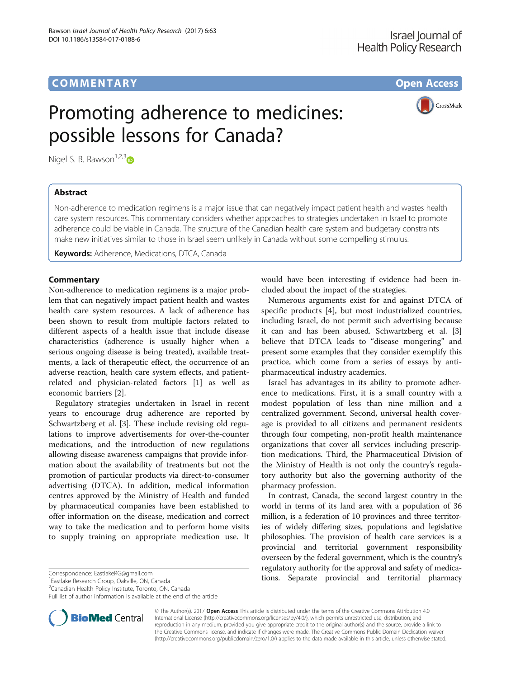## **COMMENTARY COMMENTARY Open Access**

CrossMark

# Promoting adherence to medicines: possible lessons for Canada?

Nigel S. B. Rawson<sup>1,2,[3](http://orcid.org/0000-0001-6843-4890)</sup> $\bullet$ 

## Abstract

Non-adherence to medication regimens is a major issue that can negatively impact patient health and wastes health care system resources. This commentary considers whether approaches to strategies undertaken in Israel to promote adherence could be viable in Canada. The structure of the Canadian health care system and budgetary constraints make new initiatives similar to those in Israel seem unlikely in Canada without some compelling stimulus.

Keywords: Adherence, Medications, DTCA, Canada

### **Commentary**

Non-adherence to medication regimens is a major problem that can negatively impact patient health and wastes health care system resources. A lack of adherence has been shown to result from multiple factors related to different aspects of a health issue that include disease characteristics (adherence is usually higher when a serious ongoing disease is being treated), available treatments, a lack of therapeutic effect, the occurrence of an adverse reaction, health care system effects, and patientrelated and physician-related factors [\[1](#page-2-0)] as well as economic barriers [[2\]](#page-2-0).

Regulatory strategies undertaken in Israel in recent years to encourage drug adherence are reported by Schwartzberg et al. [\[3](#page-2-0)]. These include revising old regulations to improve advertisements for over-the-counter medications, and the introduction of new regulations allowing disease awareness campaigns that provide information about the availability of treatments but not the promotion of particular products via direct-to-consumer advertising (DTCA). In addition, medical information centres approved by the Ministry of Health and funded by pharmaceutical companies have been established to offer information on the disease, medication and correct way to take the medication and to perform home visits to supply training on appropriate medication use. It

<sup>1</sup> Eastlake Research Group, Oakville, ON, Canada

2 Canadian Health Policy Institute, Toronto, ON, Canada

Full list of author information is available at the end of the article



would have been interesting if evidence had been included about the impact of the strategies.

Numerous arguments exist for and against DTCA of specific products [[4](#page-2-0)], but most industrialized countries, including Israel, do not permit such advertising because it can and has been abused. Schwartzberg et al. [\[3](#page-2-0)] believe that DTCA leads to "disease mongering" and present some examples that they consider exemplify this practice, which come from a series of essays by antipharmaceutical industry academics.

Israel has advantages in its ability to promote adherence to medications. First, it is a small country with a modest population of less than nine million and a centralized government. Second, universal health coverage is provided to all citizens and permanent residents through four competing, non-profit health maintenance organizations that cover all services including prescription medications. Third, the Pharmaceutical Division of the Ministry of Health is not only the country's regulatory authority but also the governing authority of the pharmacy profession.

In contrast, Canada, the second largest country in the world in terms of its land area with a population of 36 million, is a federation of 10 provinces and three territories of widely differing sizes, populations and legislative philosophies. The provision of health care services is a provincial and territorial government responsibility overseen by the federal government, which is the country's regulatory authority for the approval and safety of medications. Separate provincial and territorial pharmacy Correspondence: [EastlakeRG@gmail.com](mailto:EastlakeRG@gmail.com) <sup>1</sup>

> © The Author(s). 2017 **Open Access** This article is distributed under the terms of the Creative Commons Attribution 4.0 International License [\(http://creativecommons.org/licenses/by/4.0/](http://creativecommons.org/licenses/by/4.0/)), which permits unrestricted use, distribution, and reproduction in any medium, provided you give appropriate credit to the original author(s) and the source, provide a link to the Creative Commons license, and indicate if changes were made. The Creative Commons Public Domain Dedication waiver [\(http://creativecommons.org/publicdomain/zero/1.0/](http://creativecommons.org/publicdomain/zero/1.0/)) applies to the data made available in this article, unless otherwise stated.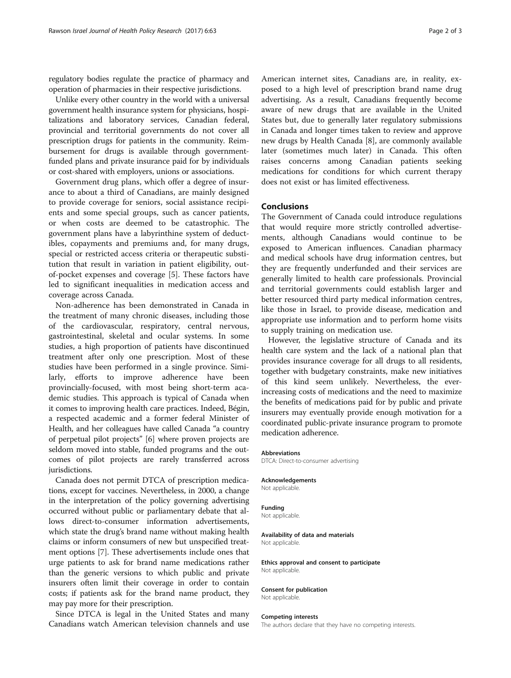regulatory bodies regulate the practice of pharmacy and operation of pharmacies in their respective jurisdictions.

Unlike every other country in the world with a universal government health insurance system for physicians, hospitalizations and laboratory services, Canadian federal, provincial and territorial governments do not cover all prescription drugs for patients in the community. Reimbursement for drugs is available through governmentfunded plans and private insurance paid for by individuals or cost-shared with employers, unions or associations.

Government drug plans, which offer a degree of insurance to about a third of Canadians, are mainly designed to provide coverage for seniors, social assistance recipients and some special groups, such as cancer patients, or when costs are deemed to be catastrophic. The government plans have a labyrinthine system of deductibles, copayments and premiums and, for many drugs, special or restricted access criteria or therapeutic substitution that result in variation in patient eligibility, outof-pocket expenses and coverage [[5](#page-2-0)]. These factors have led to significant inequalities in medication access and coverage across Canada.

Non-adherence has been demonstrated in Canada in the treatment of many chronic diseases, including those of the cardiovascular, respiratory, central nervous, gastrointestinal, skeletal and ocular systems. In some studies, a high proportion of patients have discontinued treatment after only one prescription. Most of these studies have been performed in a single province. Similarly, efforts to improve adherence have been provincially-focused, with most being short-term academic studies. This approach is typical of Canada when it comes to improving health care practices. Indeed, Bégin, a respected academic and a former federal Minister of Health, and her colleagues have called Canada "a country of perpetual pilot projects" [[6](#page-2-0)] where proven projects are seldom moved into stable, funded programs and the outcomes of pilot projects are rarely transferred across jurisdictions.

Canada does not permit DTCA of prescription medications, except for vaccines. Nevertheless, in 2000, a change in the interpretation of the policy governing advertising occurred without public or parliamentary debate that allows direct-to-consumer information advertisements, which state the drug's brand name without making health claims or inform consumers of new but unspecified treatment options [\[7\]](#page-2-0). These advertisements include ones that urge patients to ask for brand name medications rather than the generic versions to which public and private insurers often limit their coverage in order to contain costs; if patients ask for the brand name product, they may pay more for their prescription.

Since DTCA is legal in the United States and many Canadians watch American television channels and use

American internet sites, Canadians are, in reality, exposed to a high level of prescription brand name drug advertising. As a result, Canadians frequently become aware of new drugs that are available in the United States but, due to generally later regulatory submissions in Canada and longer times taken to review and approve new drugs by Health Canada [\[8\]](#page-2-0), are commonly available later (sometimes much later) in Canada. This often raises concerns among Canadian patients seeking medications for conditions for which current therapy does not exist or has limited effectiveness.

## Conclusions

The Government of Canada could introduce regulations that would require more strictly controlled advertisements, although Canadians would continue to be exposed to American influences. Canadian pharmacy and medical schools have drug information centres, but they are frequently underfunded and their services are generally limited to health care professionals. Provincial and territorial governments could establish larger and better resourced third party medical information centres, like those in Israel, to provide disease, medication and appropriate use information and to perform home visits to supply training on medication use.

However, the legislative structure of Canada and its health care system and the lack of a national plan that provides insurance coverage for all drugs to all residents, together with budgetary constraints, make new initiatives of this kind seem unlikely. Nevertheless, the everincreasing costs of medications and the need to maximize the benefits of medications paid for by public and private insurers may eventually provide enough motivation for a coordinated public-private insurance program to promote medication adherence.

#### **Abbreviations**

DTCA: Direct-to-consumer advertising

## Acknowledgements

Not applicable.

#### Funding

Not applicable.

#### Availability of data and materials

Not applicable.

Ethics approval and consent to participate Not applicable.

#### Consent for publication

Not applicable.

#### Competing interests

The authors declare that they have no competing interests.